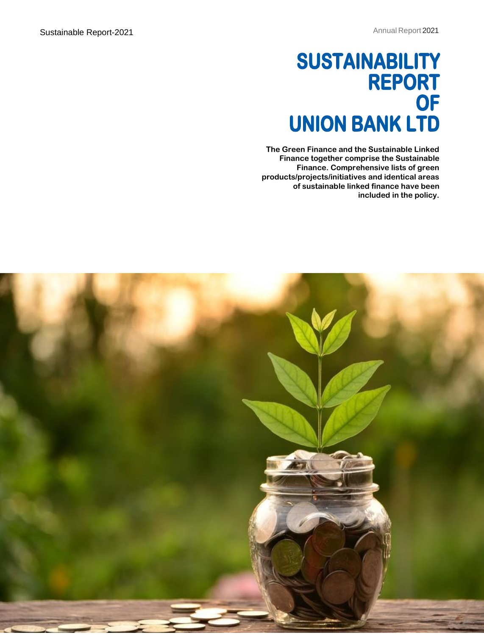## **SUSTAINABILITY REPORT OF UNION BANK LTD**

**The Green Finance and the Sustainable Linked Finance together comprise the Sustainable Finance. Comprehensive lists of green products/projects/initiatives and identical areas of sustainable linked finance have been included in the policy.**

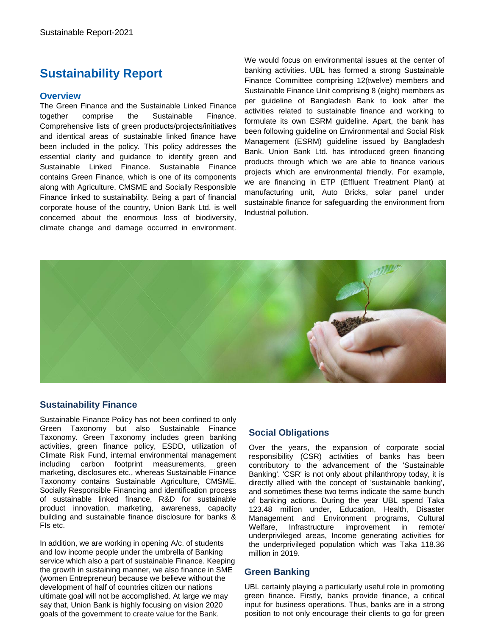### **Sustainability Report**

#### **Overview**

The Green Finance and the Sustainable Linked Finance together comprise the Sustainable Finance. Comprehensive lists of green products/projects/initiatives and identical areas of sustainable linked finance have been included in the policy. This policy addresses the essential clarity and guidance to identify green and Sustainable Linked Finance. Sustainable Finance contains Green Finance, which is one of its components along with Agriculture, CMSME and Socially Responsible Finance linked to sustainability. Being a part of financial corporate house of the country, Union Bank Ltd. is well concerned about the enormous loss of biodiversity, climate change and damage occurred in environment.

We would focus on environmental issues at the center of banking activities. UBL has formed a strong Sustainable Finance Committee comprising 12(twelve) members and Sustainable Finance Unit comprising 8 (eight) members as per guideline of Bangladesh Bank to look after the activities related to sustainable finance and working to formulate its own ESRM guideline. Apart, the bank has been following guideline on Environmental and Social Risk Management (ESRM) guideline issued by Bangladesh Bank. Union Bank Ltd. has introduced green financing products through which we are able to finance various projects which are environmental friendly. For example, we are financing in ETP (Effluent Treatment Plant) at manufacturing unit, Auto Bricks, solar panel under sustainable finance for safeguarding the environment from Industrial pollution.



#### **Sustainability Finance**

Sustainable Finance Policy has not been confined to only Green Taxonomy but also Sustainable Finance Taxonomy. Green Taxonomy includes green banking activities, green finance policy, ESDD, utilization of Climate Risk Fund, internal environmental management including carbon footprint measurements, green marketing, disclosures etc., whereas Sustainable Finance Taxonomy contains Sustainable Agriculture, CMSME, Socially Responsible Financing and identification process of sustainable linked finance, R&D for sustainable product innovation, marketing, awareness, capacity building and sustainable finance disclosure for banks & FIs etc.

In addition, we are working in opening A/c. of students and low income people under the umbrella of Banking service which also a part of sustainable Finance. Keeping the growth in sustaining manner, we also finance in SME (women Entrepreneur) because we believe without the development of half of countries citizen our nations ultimate goal will not be accomplished. At large we may say that, Union Bank is highly focusing on vision 2020 goals of the government to create value for the Bank.

#### **Social Obligations**

Over the years, the expansion of corporate social responsibility (CSR) activities of banks has been contributory to the advancement of the 'Sustainable Banking'. 'CSR' is not only about philanthropy today, it is directly allied with the concept of 'sustainable banking', and sometimes these two terms indicate the same bunch of banking actions. During the year UBL spend Taka 123.48 million under, Education, Health, Disaster Management and Environment programs, Cultural Welfare, Infrastructure improvement in remote/ underprivileged areas, Income generating activities for the underprivileged population which was Taka 118.36 million in 2019.

#### **Green Banking**

UBL certainly playing a particularly useful role in promoting green finance. Firstly, banks provide finance, a critical input for business operations. Thus, banks are in a strong position to not only encourage their clients to go for green